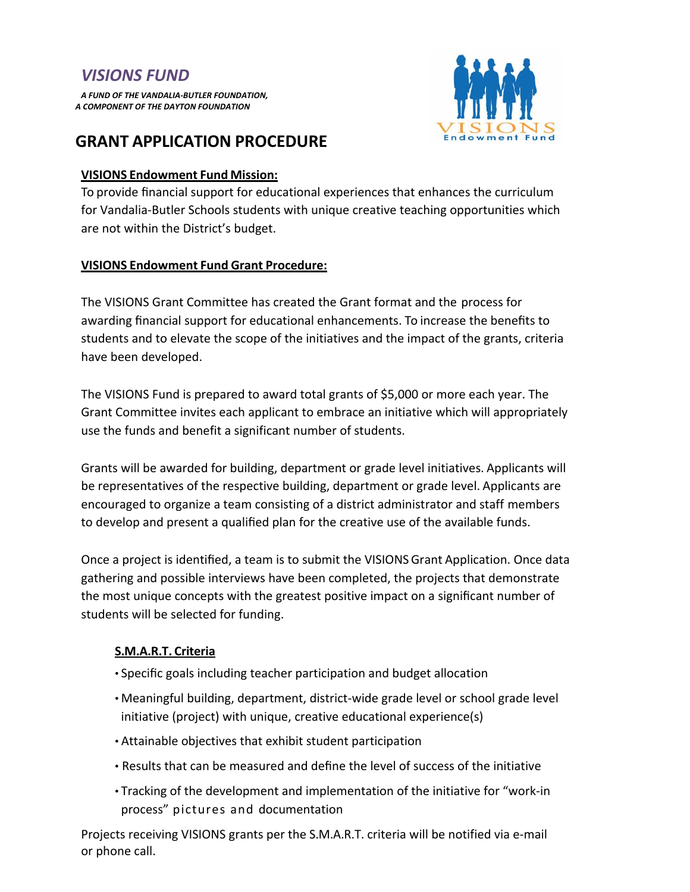# *VISIONS FUND*

*A FUND OF THE VANDALIA-BUTLER FOUNDATION, A COMPONENT OF THE DAYTON FOUNDATION*



## **GRANT APPLICATION PROCEDURE**

### **VISIONS Endowment Fund Mission:**

To provide financial support for educational experiences that enhances the curriculum for Vandalia-Butler Schools students with unique creative teaching opportunities which are not within the District's budget.

## **VISIONS Endowment Fund Grant Procedure:**

The VISIONS Grant Committee has created the Grant format and the process for awarding financial support for educational enhancements. To increase the benefits to students and to elevate the scope of the initiatives and the impact of the grants, criteria have been developed.

The VISIONS Fund is prepared to award total grants of \$5,000 or more each year. The Grant Committee invites each applicant to embrace an initiative which will appropriately use the funds and benefit a significant number of students.

Grants will be awarded for building, department or grade level initiatives. Applicants will be representatives of the respective building, department or grade level. Applicants are encouraged to organize a team consisting of a district administrator and staff members to develop and present a qualified plan for the creative use of the available funds.

Once a project is identified, a team is to submit the VISIONS Grant Application. Once data gathering and possible interviews have been completed, the projects that demonstrate the most unique concepts with the greatest positive impact on a significant number of students will be selected for funding.

## **S.M.A.R.T. Criteria**

- Specific goals including teacher participation and budget allocation
- Meaningful building, department, district-wide grade level or school grade level initiative (project) with unique, creative educational experience(s)
- Attainable objectives that exhibit student participation
- Results that can be measured and define the level of success of the initiative
- Tracking of the development and implementation of the initiative for "work-in process" pictures and documentation

Projects receiving VISIONS grants per the S.M.A.R.T. criteria will be notified via e-mail or phone call.